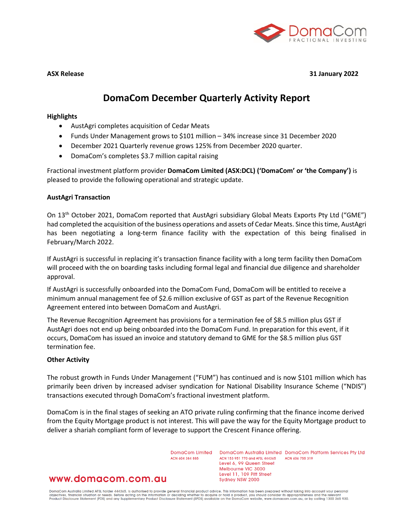

**ASX Release 31 January 2022**

# **DomaCom December Quarterly Activity Report**

### **Highlights**

- AustAgri completes acquisition of Cedar Meats
- Funds Under Management grows to \$101 million 34% increase since 31 December 2020
- December 2021 Quarterly revenue grows 125% from December 2020 quarter.
- DomaCom's completes \$3.7 million capital raising

Fractional investment platform provider **DomaCom Limited (ASX:DCL) ('DomaCom' or 'the Company')** is pleased to provide the following operational and strategic update.

#### **AustAgri Transaction**

On 13<sup>th</sup> October 2021, DomaCom reported that AustAgri subsidiary Global Meats Exports Pty Ltd ("GME") had completed the acquisition of the business operations and assets of Cedar Meats. Since this time, AustAgri has been negotiating a long-term finance facility with the expectation of this being finalised in February/March 2022.

If AustAgri is successful in replacing it's transaction finance facility with a long term facility then DomaCom will proceed with the on boarding tasks including formal legal and financial due diligence and shareholder approval.

If AustAgri is successfully onboarded into the DomaCom Fund, DomaCom will be entitled to receive a minimum annual management fee of \$2.6 million exclusive of GST as part of the Revenue Recognition Agreement entered into between DomaCom and AustAgri.

The Revenue Recognition Agreement has provisions for a termination fee of \$8.5 million plus GST if AustAgri does not end up being onboarded into the DomaCom Fund. In preparation for this event, if it occurs, DomaCom has issued an invoice and statutory demand to GME for the \$8.5 million plus GST termination fee.

#### **Other Activity**

The robust growth in Funds Under Management ("FUM") has continued and is now \$101 million which has primarily been driven by increased adviser syndication for National Disability Insurance Scheme ("NDIS") transactions executed through DomaCom's fractional investment platform.

DomaCom is in the final stages of seeking an ATO private ruling confirming that the finance income derived from the Equity Mortgage product is not interest. This will pave the way for the Equity Mortgage product to deliver a shariah compliant form of leverage to support the Crescent Finance offering.

ACN 604 384 885

DomaCom Limited DomaCom Australia Limited DomaCom Platform Services Pty Ltd ACN 153 951 770 and AFSL 444365 ACN 606 755 319 Level 6, 99 Queen Street Melbourne VIC 3000 Level 11, 109 Pitt Street Sydney NSW 2000

# www.domacom.com.au

DomaCom Australia Limited AFSL holder 444365, is authorised to provide general financial product advice. This information has been prepared without taking into account your personal<br>objectives, financial situation or needs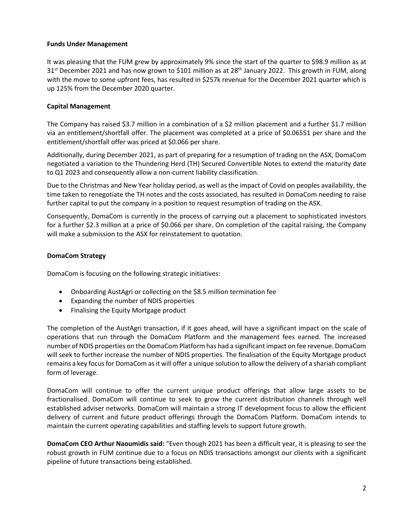# **Funds Under Management**

It was pleasing that the FUM grew by approximately 9% since the start of the quarter to \$98.9 million as at 31<sup>st</sup> December 2021 and has now grown to \$101 million as at 28<sup>th</sup> January 2022. This growth in FUM, along with the move to some upfront fees, has resulted in \$257k revenue for the December 2021 quarter which is up 125% from the December 2020 quarter.

# **Capital Management**

The Company has raised \$3.7 million in a combination of a \$2 million placement and a further \$1.7 million via an entitlement/shortfall offer. The placement was completed at a price of \$0.06551 per share and the entitlement/shortfall offer was priced at \$0.066 per share.

Additionally, during December 2021, as part of preparing for a resumption of trading on the ASX, DomaCom negotiated a variation to the Thundering Herd (TH) Secured Convertible Notes to extend the maturity date to Q1 2023 and consequently allow a non-current liability classification.

Due to the Christmas and New Year holiday period, as well as the impact of Covid on peoples availability, the time taken to renegotiate the TH notes and the costs associated, has resulted in DomaCom needing to raise further capital to put the company in a position to request resumption of trading on the ASX.

Consequently, DomaCom is currently in the process of carrying out a placement to sophisticated investors for a further \$2.3 million at a price of \$0.066 per share. On completion of the capital raising, the Company will make a submission to the ASX for reinstatement to quotation.

# **DomaCom Strategy**

DomaCom is focusing on the following strategic initiatives:

- Onboarding AustAgri or collecting on the \$8.5 million termination fee
- Expanding the number of NDIS properties
- Finalising the Equity Mortgage product

The completion of the AustAgri transaction, if it goes ahead, will have a significant impact on the scale of operations that run through the DomaCom Platform and the management fees earned. The increased number of NDIS properties on the DomaCom Platform has had a significant impact on fee revenue. DomaCom will seek to further increase the number of NDIS properties. The finalisation of the Equity Mortgage product remains a key focus for DomaCom as it will offer a unique solution to allow the delivery of a shariah compliant form of leverage.

DomaCom will continue to offer the current unique product offerings that allow large assets to be fractionalised. DomaCom will continue to seek to grow the current distribution channels through well established adviser networks. DomaCom will maintain a strong IT development focus to allow the efficient delivery of current and future product offerings through the DomaCom Platform. DomaCom intends to maintain the current operating capabilities and staffing levels to support future growth.

**DomaCom CEO Arthur Naoumidis said:** "Even though 2021 has been a difficult year, it is pleasing to see the robust growth in FUM continue due to a focus on NDIS transactions amongst our clients with a significant pipeline of future transactions being established.